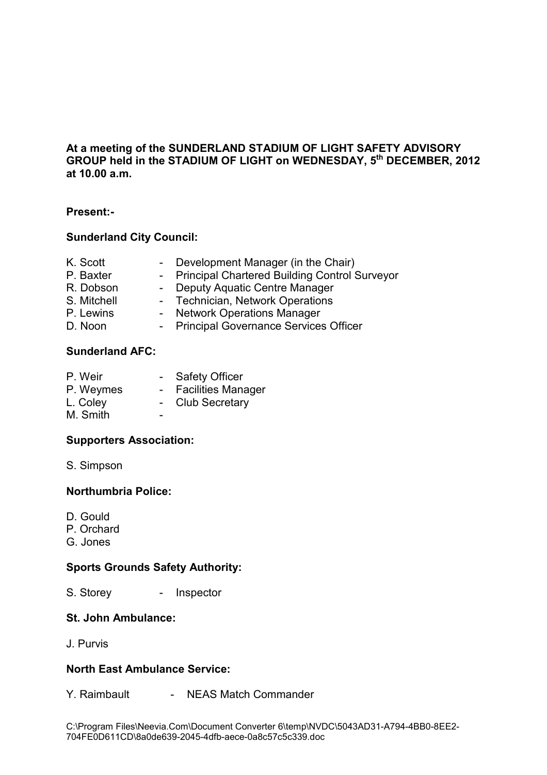# **At a meeting of the SUNDERLAND STADIUM OF LIGHT SAFETY ADVISORY GROUP held in the STADIUM OF LIGHT on WEDNESDAY, 5th DECEMBER, 2012 at 10.00 a.m.**

### **Present:-**

## **Sunderland City Council:**

| K. Scott    | - Development Manager (in the Chair)            |
|-------------|-------------------------------------------------|
| P. Baxter   | - Principal Chartered Building Control Surveyor |
| R. Dobson   | - Deputy Aquatic Centre Manager                 |
| S. Mitchell | - Technician, Network Operations                |
| P I ewins   | - Network Operations Manager                    |

P. Lewins - Network Operations Manager<br>D. Noon - Principal Governance Service - Principal Governance Services Officer

### **Sunderland AFC:**

|        | <b>Safety Officer</b>     |
|--------|---------------------------|
|        | <b>Facilities Manager</b> |
| $\sim$ | <b>Club Secretary</b>     |
|        |                           |
|        |                           |

### **Supporters Association:**

S. Simpson

### **Northumbria Police:**

- D. Gould
- P. Orchard
- G. Jones

### **Sports Grounds Safety Authority:**

S. Storey - Inspector

### **St. John Ambulance:**

J. Purvis

### **North East Ambulance Service:**

Y. Raimbault - NEAS Match Commander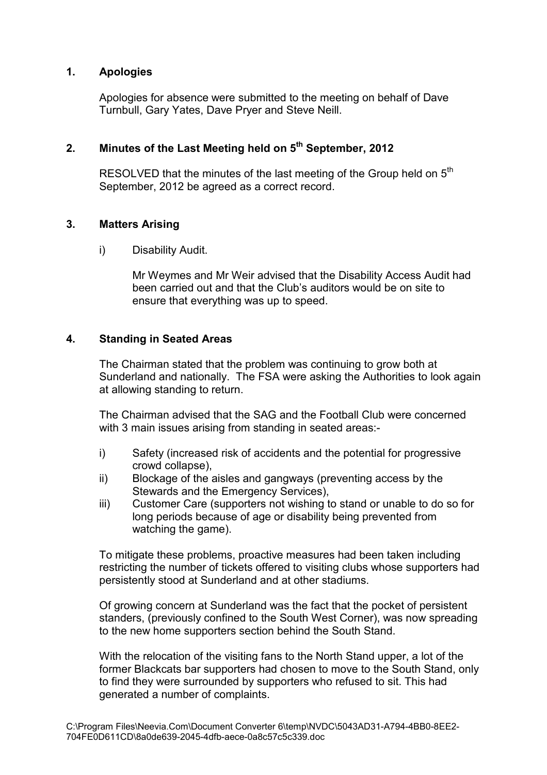### **1. Apologies**

Apologies for absence were submitted to the meeting on behalf of Dave Turnbull, Gary Yates, Dave Pryer and Steve Neill.

# **2. Minutes of the Last Meeting held on 5th September, 2012**

RESOLVED that the minutes of the last meeting of the Group held on 5<sup>th</sup> September, 2012 be agreed as a correct record.

### **3. Matters Arising**

i) Disability Audit.

Mr Weymes and Mr Weir advised that the Disability Access Audit had been carried out and that the Club's auditors would be on site to ensure that everything was up to speed.

### **4. Standing in Seated Areas**

The Chairman stated that the problem was continuing to grow both at Sunderland and nationally. The FSA were asking the Authorities to look again at allowing standing to return.

The Chairman advised that the SAG and the Football Club were concerned with 3 main issues arising from standing in seated areas:-

- i) Safety (increased risk of accidents and the potential for progressive crowd collapse),
- ii) Blockage of the aisles and gangways (preventing access by the Stewards and the Emergency Services),
- iii) Customer Care (supporters not wishing to stand or unable to do so for long periods because of age or disability being prevented from watching the game).

To mitigate these problems, proactive measures had been taken including restricting the number of tickets offered to visiting clubs whose supporters had persistently stood at Sunderland and at other stadiums.

Of growing concern at Sunderland was the fact that the pocket of persistent standers, (previously confined to the South West Corner), was now spreading to the new home supporters section behind the South Stand.

With the relocation of the visiting fans to the North Stand upper, a lot of the former Blackcats bar supporters had chosen to move to the South Stand, only to find they were surrounded by supporters who refused to sit. This had generated a number of complaints.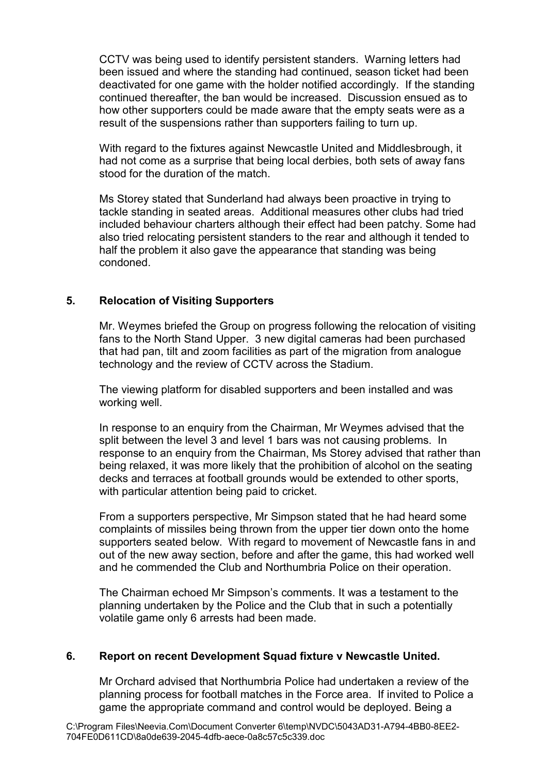CCTV was being used to identify persistent standers. Warning letters had been issued and where the standing had continued, season ticket had been deactivated for one game with the holder notified accordingly. If the standing continued thereafter, the ban would be increased. Discussion ensued as to how other supporters could be made aware that the empty seats were as a result of the suspensions rather than supporters failing to turn up.

With regard to the fixtures against Newcastle United and Middlesbrough, it had not come as a surprise that being local derbies, both sets of away fans stood for the duration of the match.

 Ms Storey stated that Sunderland had always been proactive in trying to tackle standing in seated areas. Additional measures other clubs had tried included behaviour charters although their effect had been patchy. Some had also tried relocating persistent standers to the rear and although it tended to half the problem it also gave the appearance that standing was being condoned.

### **5. Relocation of Visiting Supporters**

Mr. Weymes briefed the Group on progress following the relocation of visiting fans to the North Stand Upper. 3 new digital cameras had been purchased that had pan, tilt and zoom facilities as part of the migration from analogue technology and the review of CCTV across the Stadium.

The viewing platform for disabled supporters and been installed and was working well.

In response to an enquiry from the Chairman, Mr Weymes advised that the split between the level 3 and level 1 bars was not causing problems. In response to an enquiry from the Chairman, Ms Storey advised that rather than being relaxed, it was more likely that the prohibition of alcohol on the seating decks and terraces at football grounds would be extended to other sports, with particular attention being paid to cricket.

From a supporters perspective, Mr Simpson stated that he had heard some complaints of missiles being thrown from the upper tier down onto the home supporters seated below. With regard to movement of Newcastle fans in and out of the new away section, before and after the game, this had worked well and he commended the Club and Northumbria Police on their operation.

The Chairman echoed Mr Simpson's comments. It was a testament to the planning undertaken by the Police and the Club that in such a potentially volatile game only 6 arrests had been made.

### **6. Report on recent Development Squad fixture v Newcastle United.**

Mr Orchard advised that Northumbria Police had undertaken a review of the planning process for football matches in the Force area. If invited to Police a game the appropriate command and control would be deployed. Being a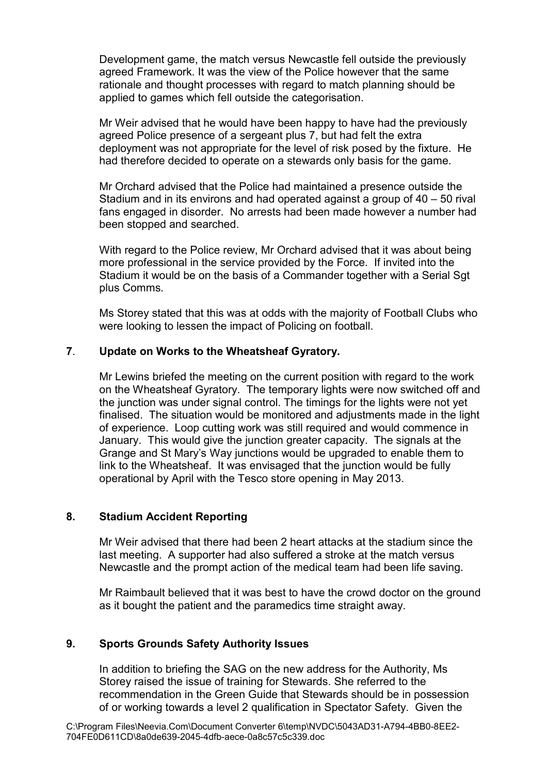Development game, the match versus Newcastle fell outside the previously agreed Framework. It was the view of the Police however that the same rationale and thought processes with regard to match planning should be applied to games which fell outside the categorisation.

Mr Weir advised that he would have been happy to have had the previously agreed Police presence of a sergeant plus 7, but had felt the extra deployment was not appropriate for the level of risk posed by the fixture. He had therefore decided to operate on a stewards only basis for the game.

Mr Orchard advised that the Police had maintained a presence outside the Stadium and in its environs and had operated against a group of 40 – 50 rival fans engaged in disorder. No arrests had been made however a number had been stopped and searched.

With regard to the Police review, Mr Orchard advised that it was about being more professional in the service provided by the Force. If invited into the Stadium it would be on the basis of a Commander together with a Serial Sgt plus Comms.

Ms Storey stated that this was at odds with the majority of Football Clubs who were looking to lessen the impact of Policing on football.

### **7**. **Update on Works to the Wheatsheaf Gyratory.**

Mr Lewins briefed the meeting on the current position with regard to the work on the Wheatsheaf Gyratory. The temporary lights were now switched off and the junction was under signal control. The timings for the lights were not yet finalised. The situation would be monitored and adjustments made in the light of experience. Loop cutting work was still required and would commence in January. This would give the junction greater capacity. The signals at the Grange and St Mary's Way junctions would be upgraded to enable them to link to the Wheatsheaf. It was envisaged that the junction would be fully operational by April with the Tesco store opening in May 2013.

### **8. Stadium Accident Reporting**

Mr Weir advised that there had been 2 heart attacks at the stadium since the last meeting. A supporter had also suffered a stroke at the match versus Newcastle and the prompt action of the medical team had been life saving.

 Mr Raimbault believed that it was best to have the crowd doctor on the ground as it bought the patient and the paramedics time straight away.

# **9. Sports Grounds Safety Authority Issues**

 In addition to briefing the SAG on the new address for the Authority, Ms Storey raised the issue of training for Stewards. She referred to the recommendation in the Green Guide that Stewards should be in possession of or working towards a level 2 qualification in Spectator Safety. Given the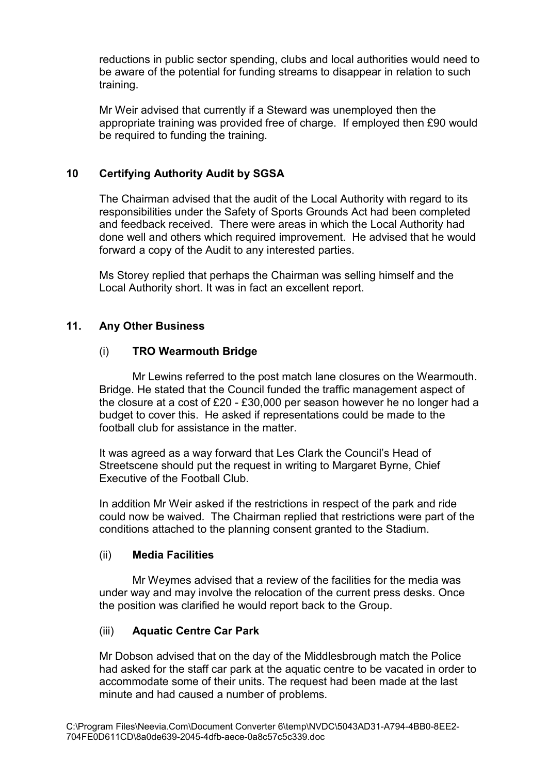reductions in public sector spending, clubs and local authorities would need to be aware of the potential for funding streams to disappear in relation to such training.

 Mr Weir advised that currently if a Steward was unemployed then the appropriate training was provided free of charge. If employed then £90 would be required to funding the training.

# **10 Certifying Authority Audit by SGSA**

The Chairman advised that the audit of the Local Authority with regard to its responsibilities under the Safety of Sports Grounds Act had been completed and feedback received. There were areas in which the Local Authority had done well and others which required improvement. He advised that he would forward a copy of the Audit to any interested parties.

 Ms Storey replied that perhaps the Chairman was selling himself and the Local Authority short. It was in fact an excellent report.

### **11. Any Other Business**

### (i) **TRO Wearmouth Bridge**

 Mr Lewins referred to the post match lane closures on the Wearmouth. Bridge. He stated that the Council funded the traffic management aspect of the closure at a cost of £20 - £30,000 per season however he no longer had a budget to cover this. He asked if representations could be made to the football club for assistance in the matter.

It was agreed as a way forward that Les Clark the Council's Head of Streetscene should put the request in writing to Margaret Byrne, Chief Executive of the Football Club.

In addition Mr Weir asked if the restrictions in respect of the park and ride could now be waived. The Chairman replied that restrictions were part of the conditions attached to the planning consent granted to the Stadium.

### (ii) **Media Facilities**

Mr Weymes advised that a review of the facilities for the media was under way and may involve the relocation of the current press desks. Once the position was clarified he would report back to the Group.

### (iii) **Aquatic Centre Car Park**

Mr Dobson advised that on the day of the Middlesbrough match the Police had asked for the staff car park at the aquatic centre to be vacated in order to accommodate some of their units. The request had been made at the last minute and had caused a number of problems.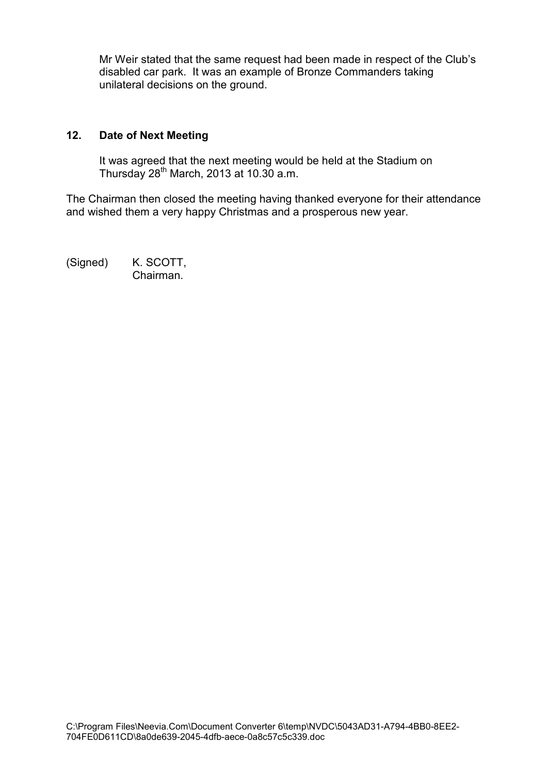Mr Weir stated that the same request had been made in respect of the Club's disabled car park. It was an example of Bronze Commanders taking unilateral decisions on the ground.

### **12. Date of Next Meeting**

It was agreed that the next meeting would be held at the Stadium on Thursday  $28^{th}$  March, 2013 at 10.30 a.m.

The Chairman then closed the meeting having thanked everyone for their attendance and wished them a very happy Christmas and a prosperous new year.

(Signed) K. SCOTT, Chairman.